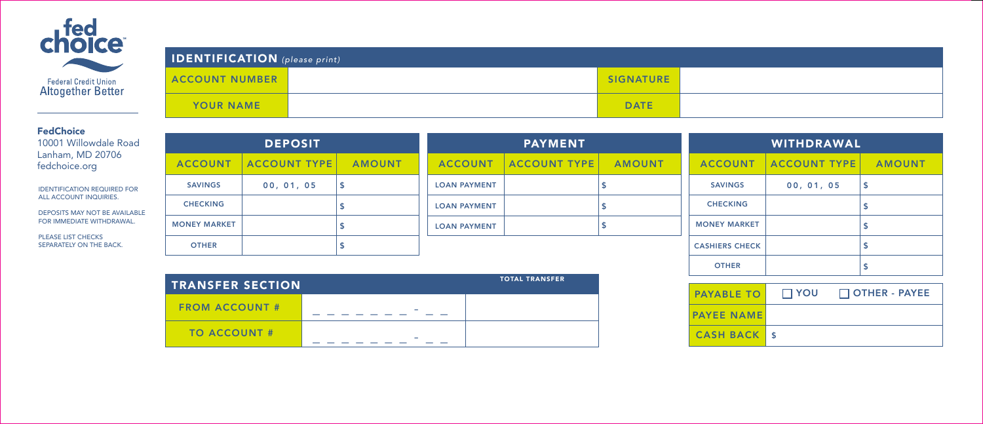

| <b>Federal Credit Union</b> |  |  |
|-----------------------------|--|--|
| Altogether Better           |  |  |

| <b>IDENTIFICATION</b> (please print) |                  |  |
|--------------------------------------|------------------|--|
| <b>ACCOUNT NUMBER</b>                | <b>SIGNATURE</b> |  |
| YOUR NAME                            | <b>DATE</b>      |  |

## FedChoice

10001 Willowdale Road Lanham, MD 20706 fedchoice.org

IDENTIFICATION REQUIRED FOR ALL ACCOUNT INQUIRIES.

DEPOSITS MAY NOT BE AVAILABLE FOR IMMEDIATE WITHDRAWAL.

PLEASE LIST CHECKS SEPARATELY ON THE BACK.

|                     | <b>DEPOSIT</b>      |               | <b>PAYMENT</b>      |                     | <b>WITHDRAWAL</b> |                       |                     |               |
|---------------------|---------------------|---------------|---------------------|---------------------|-------------------|-----------------------|---------------------|---------------|
| <b>ACCOUNT</b>      | <b>ACCOUNT TYPE</b> | <b>AMOUNT</b> | <b>ACCOUNT</b>      | <b>ACCOUNT TYPE</b> | <b>AMOUNT</b>     | <b>ACCOUNT</b>        | <b>ACCOUNT TYPE</b> | <b>AMOUNT</b> |
| <b>SAVINGS</b>      | 00, 01, 05          | ۱s            | <b>LOAN PAYMENT</b> |                     |                   | <b>SAVINGS</b>        | 00, 01, 05          |               |
| <b>CHECKING</b>     |                     |               | <b>LOAN PAYMENT</b> |                     |                   | <b>CHECKING</b>       |                     |               |
| <b>MONEY MARKET</b> |                     |               | <b>LOAN PAYMENT</b> |                     |                   | <b>MONEY MARKET</b>   |                     |               |
| <b>OTHER</b>        |                     |               |                     |                     |                   | <b>CASHIERS CHECK</b> |                     |               |

| <b>TRANSFER SECTION</b> | <b>TOTAL TRANSFER</b> |
|-------------------------|-----------------------|
| <b>FROM ACCOUNT#</b>    |                       |
| <b>TO ACCOUNT #</b>     |                       |

| <b>PAYABLE TO</b>  | $\Box$ YOU | OTHER - PAYEE |
|--------------------|------------|---------------|
| <b>PAYEE NAME</b>  |            |               |
| <b>CASH BACK S</b> |            |               |

OTHER

 $|s|$